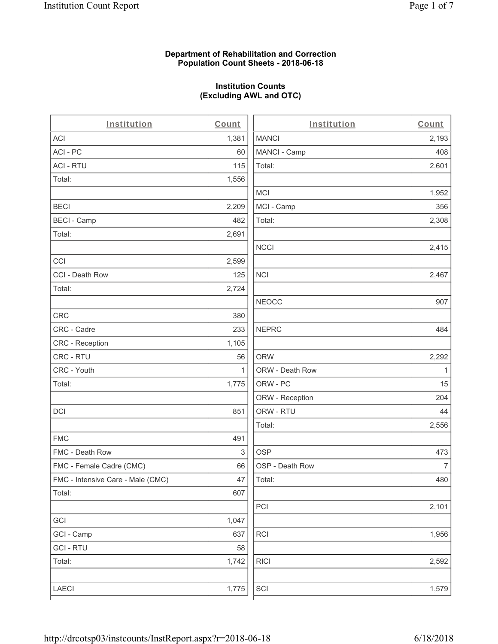#### **Department of Rehabilitation and Correction Population Count Sheets - 2018-06-18**

## **Institution Counts (Excluding AWL and OTC)**

 $\overline{a}$ 

| Institution                       | Count | Institution     | Count        |
|-----------------------------------|-------|-----------------|--------------|
| ACI                               | 1,381 | <b>MANCI</b>    | 2,193        |
| ACI-PC                            | 60    | MANCI - Camp    | 408          |
| <b>ACI - RTU</b>                  | 115   | Total:          | 2,601        |
| Total:                            | 1,556 |                 |              |
|                                   |       | <b>MCI</b>      | 1,952        |
| <b>BECI</b>                       | 2,209 | MCI - Camp      | 356          |
| <b>BECI - Camp</b>                | 482   | Total:          | 2,308        |
| Total:                            | 2,691 |                 |              |
|                                   |       | <b>NCCI</b>     | 2,415        |
| CCI                               | 2,599 |                 |              |
| CCI - Death Row                   | 125   | <b>NCI</b>      | 2,467        |
| Total:                            | 2,724 |                 |              |
|                                   |       | <b>NEOCC</b>    | 907          |
| <b>CRC</b>                        | 380   |                 |              |
| CRC - Cadre                       | 233   | <b>NEPRC</b>    | 484          |
| CRC - Reception                   | 1,105 |                 |              |
| CRC - RTU                         | 56    | <b>ORW</b>      | 2,292        |
| CRC - Youth                       | 1     | ORW - Death Row | $\mathbf{1}$ |
| Total:                            | 1,775 | ORW - PC        | 15           |
|                                   |       | ORW - Reception | 204          |
| DCI                               | 851   | ORW - RTU       | 44           |
|                                   |       | Total:          | 2,556        |
| <b>FMC</b>                        | 491   |                 |              |
| FMC - Death Row                   | 3     | <b>OSP</b>      | 473          |
| FMC - Female Cadre (CMC)          | 66    | OSP - Death Row | 7            |
| FMC - Intensive Care - Male (CMC) | 47    | Total:          | 480          |
| Total:                            | 607   |                 |              |
|                                   |       | PCI             | 2,101        |
| GCI                               | 1,047 |                 |              |
| GCI - Camp                        | 637   | RCI             | 1,956        |
| <b>GCI-RTU</b>                    | 58    |                 |              |
| Total:                            | 1,742 | <b>RICI</b>     | 2,592        |
|                                   |       |                 |              |
| LAECI                             | 1,775 | SCI             | 1,579        |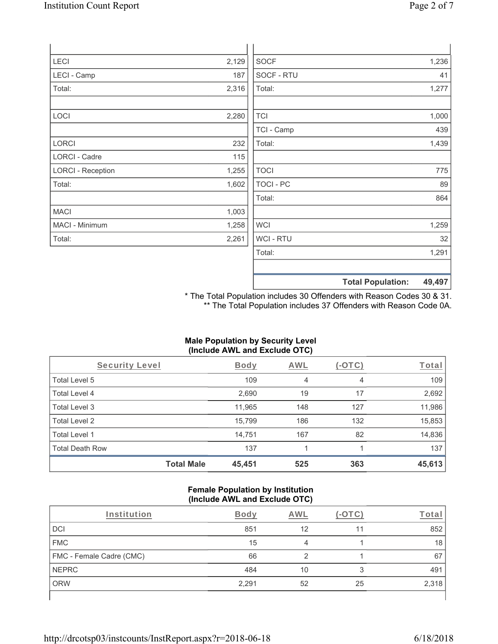| LECI                     | 2,129 | <b>SOCF</b> |                          | 1,236  |
|--------------------------|-------|-------------|--------------------------|--------|
| LECI - Camp              | 187   | SOCF - RTU  |                          | 41     |
| Total:                   | 2,316 | Total:      |                          | 1,277  |
| LOCI                     | 2,280 | <b>TCI</b>  |                          | 1,000  |
|                          |       | TCI - Camp  |                          | 439    |
| LORCI                    | 232   | Total:      |                          | 1,439  |
| LORCI - Cadre            | 115   |             |                          |        |
| <b>LORCI - Reception</b> | 1,255 | <b>TOCI</b> |                          | 775    |
| Total:                   | 1,602 | TOCI - PC   |                          | 89     |
|                          |       | Total:      |                          | 864    |
| <b>MACI</b>              | 1,003 |             |                          |        |
| MACI - Minimum           | 1,258 | <b>WCI</b>  |                          | 1,259  |
| Total:                   | 2,261 | WCI - RTU   |                          | 32     |
|                          |       | Total:      |                          | 1,291  |
|                          |       |             | <b>Total Population:</b> | 49,497 |

\* The Total Population includes 30 Offenders with Reason Codes 30 & 31. \*\* The Total Population includes 37 Offenders with Reason Code 0A.

### **Male Population by Security Level (Include AWL and Exclude OTC)**

| Security Level         |                   | <b>Body</b> | AWL | (-OTC) | Total  |
|------------------------|-------------------|-------------|-----|--------|--------|
| Total Level 5          |                   | 109         | 4   | 4      | 109    |
| Total Level 4          |                   | 2,690       | 19  | 17     | 2,692  |
| Total Level 3          |                   | 11,965      | 148 | 127    | 11,986 |
| Total Level 2          |                   | 15,799      | 186 | 132    | 15,853 |
| Total Level 1          |                   | 14,751      | 167 | 82     | 14,836 |
| <b>Total Death Row</b> |                   | 137         |     |        | 137    |
|                        | <b>Total Male</b> | 45,451      | 525 | 363    | 45,613 |

#### **Female Population by Institution (Include AWL and Exclude OTC)**

| Institution              | <b>Body</b> | AWL |    | <u>rota</u> r |
|--------------------------|-------------|-----|----|---------------|
| DCI                      | 851         | 12  | 11 | 852           |
| <b>FMC</b>               | 15          | 4   |    | 18            |
| FMC - Female Cadre (CMC) | 66          |     |    | 67            |
| <b>NEPRC</b>             | 484         | 10  | 3  | 491           |
| <b>ORW</b>               | 2,291       | 52  | 25 | 2,318         |
|                          |             |     |    |               |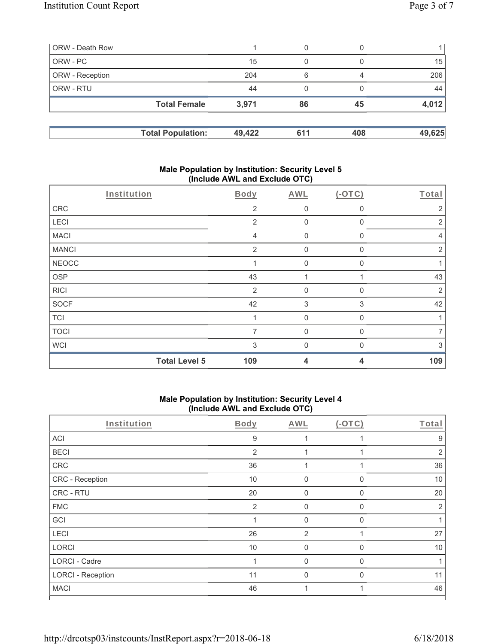| ORW - Death Row        |                          |        | 0   |     |        |
|------------------------|--------------------------|--------|-----|-----|--------|
| ORW - PC               |                          | 15     | 0   |     | 15     |
| <b>ORW</b> - Reception |                          | 204    | 6   | 4   | 206    |
| <b>ORW - RTU</b>       |                          | 44     | 0   |     | 44     |
|                        | <b>Total Female</b>      | 3,971  | 86  | 45  | 4,012  |
|                        | <b>Total Population:</b> | 49,422 | 611 | 408 | 49,625 |

#### **Male Population by Institution: Security Level 5 (Include AWL and Exclude OTC)**

| Institution  |                      | Body           | AWL            | $(-OTC)$     | Total          |
|--------------|----------------------|----------------|----------------|--------------|----------------|
| CRC          |                      | $\overline{2}$ | $\mathbf 0$    | 0            | 2              |
| LECI         |                      | 2              | $\mathbf 0$    | 0            | 2              |
| <b>MACI</b>  |                      | $\overline{4}$ | $\mathbf 0$    | 0            | $\overline{4}$ |
| <b>MANCI</b> |                      | 2              | $\mathbf 0$    | 0            | $\overline{2}$ |
| <b>NEOCC</b> |                      |                | $\mathbf 0$    | $\mathbf{0}$ | 1              |
| <b>OSP</b>   |                      | 43             |                |              | 43             |
| <b>RICI</b>  |                      | $\overline{2}$ | $\overline{0}$ | $\mathbf{0}$ | $\overline{2}$ |
| <b>SOCF</b>  |                      | 42             | 3              | 3            | 42             |
| <b>TCI</b>   |                      |                | $\mathbf 0$    | $\mathbf{0}$ | 1              |
| <b>TOCI</b>  |                      | 7              | $\mathbf{0}$   | 0            | $\overline{7}$ |
| <b>WCI</b>   |                      | 3              | $\Omega$       |              | 3              |
|              | <b>Total Level 5</b> | 109            | 4              | 4            | 109            |

# **Male Population by Institution: Security Level 4 (Include AWL and Exclude OTC)**

| Institution              | Body           | AWL            | $(-OTC)$     | Total          |
|--------------------------|----------------|----------------|--------------|----------------|
| ACI                      | 9              |                |              | 9              |
| <b>BECI</b>              | $\overline{2}$ |                |              | $\overline{2}$ |
| CRC                      | 36             |                |              | 36             |
| CRC - Reception          | 10             | $\mathbf 0$    | 0            | 10             |
| CRC - RTU                | 20             | 0              | $\mathbf 0$  | 20             |
| <b>FMC</b>               | $\overline{2}$ | $\mathbf 0$    | $\mathbf{0}$ | $\overline{2}$ |
| GCI                      | $\mathbf 1$    | $\mathbf 0$    | $\mathbf 0$  |                |
| LECI                     | 26             | $\overline{2}$ |              | 27             |
| <b>LORCI</b>             | 10             | 0              | $\mathbf{0}$ | 10             |
| <b>LORCI - Cadre</b>     | 1              | $\Omega$       | $\Omega$     |                |
| <b>LORCI - Reception</b> | 11             | $\Omega$       | $\Omega$     | 11             |
| <b>MACI</b>              | 46             |                |              | 46             |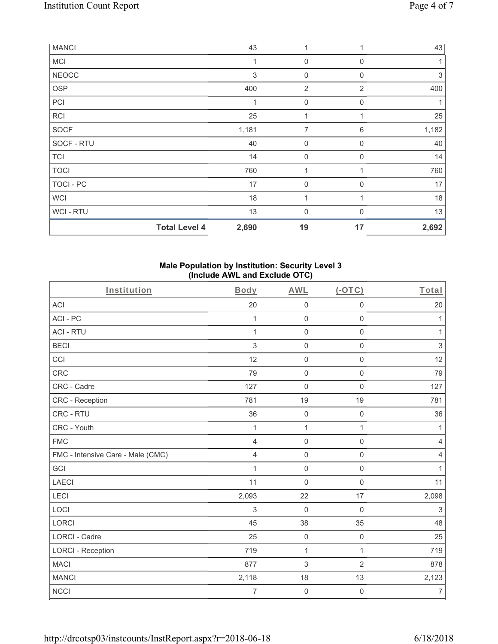| <b>MANCI</b> |                      | 43             | 1              |                | 43    |
|--------------|----------------------|----------------|----------------|----------------|-------|
| <b>MCI</b>   |                      | $\overline{1}$ | $\mathbf 0$    | 0              |       |
| <b>NEOCC</b> |                      | 3              | $\mathbf 0$    | $\mathbf 0$    | 3     |
| <b>OSP</b>   |                      | 400            | $\overline{2}$ | $\overline{2}$ | 400   |
| PCI          |                      | 1              | $\mathbf 0$    | 0              |       |
| <b>RCI</b>   |                      | 25             | 1              | 1              | 25    |
| <b>SOCF</b>  |                      | 1,181          | 7              | 6              | 1,182 |
| SOCF - RTU   |                      | 40             | $\mathbf 0$    | $\Omega$       | 40    |
| <b>TCI</b>   |                      | 14             | 0              | 0              | 14    |
| <b>TOCI</b>  |                      | 760            | 1              |                | 760   |
| TOCI - PC    |                      | 17             | 0              | $\Omega$       | 17    |
| <b>WCI</b>   |                      | 18             | 1              |                | 18    |
| WCI-RTU      |                      | 13             | $\overline{0}$ | $\Omega$       | 13    |
|              | <b>Total Level 4</b> | 2,690          | 19             | 17             | 2,692 |

### **Male Population by Institution: Security Level 3 (Include AWL and Exclude OTC)**

| Institution                       | Body           | <b>AWL</b>          | $(-OTC)$            | Total          |
|-----------------------------------|----------------|---------------------|---------------------|----------------|
| <b>ACI</b>                        | 20             | $\mathbf 0$         | $\mathbf 0$         | 20             |
| ACI-PC                            | $\mathbf{1}$   | $\mathbf 0$         | $\mathbf 0$         | 1              |
| <b>ACI - RTU</b>                  | $\mathbf{1}$   | $\mathbf 0$         | $\mathsf{O}\xspace$ | $\mathbf{1}$   |
| <b>BECI</b>                       | 3              | $\mathbf 0$         | $\mathbf 0$         | $\sqrt{3}$     |
| CCI                               | 12             | $\mathbf 0$         | $\mathbf 0$         | 12             |
| CRC                               | 79             | $\mathsf{O}\xspace$ | $\mathsf{O}\xspace$ | 79             |
| CRC - Cadre                       | 127            | $\mathbf 0$         | $\mathbf 0$         | 127            |
| <b>CRC</b> - Reception            | 781            | 19                  | 19                  | 781            |
| CRC - RTU                         | 36             | $\mathbf 0$         | $\mathsf{O}\xspace$ | 36             |
| CRC - Youth                       | 1              | 1                   | $\mathbf{1}$        | 1              |
| <b>FMC</b>                        | $\overline{4}$ | $\mathbf 0$         | $\mathsf{O}\xspace$ | $\overline{4}$ |
| FMC - Intensive Care - Male (CMC) | $\overline{4}$ | $\mathbf 0$         | $\mathbf 0$         | 4              |
| GCI                               | $\mathbf{1}$   | $\mathbf 0$         | $\mathbf 0$         | 1              |
| <b>LAECI</b>                      | 11             | $\mathbf 0$         | $\mathsf{O}\xspace$ | 11             |
| LECI                              | 2,093          | 22                  | 17                  | 2,098          |
| LOCI                              | 3              | $\mathbf 0$         | $\mathbf 0$         | $\sqrt{3}$     |
| <b>LORCI</b>                      | 45             | 38                  | 35                  | 48             |
| <b>LORCI - Cadre</b>              | 25             | $\mathbf 0$         | $\mathsf 0$         | 25             |
| <b>LORCI - Reception</b>          | 719            | $\mathbf{1}$        | $\mathbf{1}$        | 719            |
| <b>MACI</b>                       | 877            | 3                   | $\overline{2}$      | 878            |
| <b>MANCI</b>                      | 2,118          | 18                  | 13                  | 2,123          |
| <b>NCCI</b>                       | 7              | $\boldsymbol{0}$    | $\mathbf 0$         | $\overline{7}$ |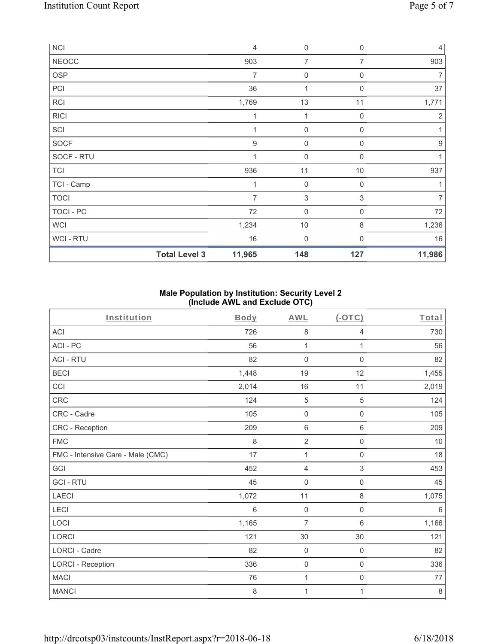| <b>NCI</b>   |                      | $\overline{4}$   | $\mathbf 0$      | $\overline{0}$ | 4                |
|--------------|----------------------|------------------|------------------|----------------|------------------|
| <b>NEOCC</b> |                      | 903              | 7                | 7              | 903              |
| OSP          |                      | $\overline{7}$   | $\mathbf 0$      | 0              | $\overline{7}$   |
| PCI          |                      | 36               | 1                | 0              | 37               |
| <b>RCI</b>   |                      | 1,769            | 13               | 11             | 1,771            |
| <b>RICI</b>  |                      | $\mathbf 1$      | $\mathbf{1}$     | $\overline{0}$ | 2                |
| SCI          |                      |                  | $\boldsymbol{0}$ | 0              | 1                |
| SOCF         |                      | $\boldsymbol{9}$ | 0                | $\mathbf 0$    | $\boldsymbol{9}$ |
| SOCF - RTU   |                      | $\overline{1}$   | $\mathbf 0$      | $\Omega$       | 1                |
| <b>TCI</b>   |                      | 936              | 11               | 10             | 937              |
| TCI - Camp   |                      | 1                | $\boldsymbol{0}$ | $\mathbf 0$    | 1                |
| <b>TOCI</b>  |                      | $\overline{7}$   | $\sqrt{3}$       | $\mathsf 3$    | $\overline{7}$   |
| TOCI - PC    |                      | 72               | $\boldsymbol{0}$ | 0              | 72               |
| <b>WCI</b>   |                      | 1,234            | 10               | 8              | 1,236            |
| WCI - RTU    |                      | 16               | $\mathbf 0$      | $\Omega$       | 16               |
|              | <b>Total Level 3</b> | 11,965           | 148              | 127            | 11,986           |

## **Male Population by Institution: Security Level 2 (Include AWL and Exclude OTC)**

| Institution                       | <b>Body</b> | <b>AWL</b>          | (OTC)               | Total   |
|-----------------------------------|-------------|---------------------|---------------------|---------|
| <b>ACI</b>                        | 726         | 8                   | 4                   | 730     |
| ACI-PC                            | 56          | 1                   | 1                   | 56      |
| <b>ACI - RTU</b>                  | 82          | 0                   | 0                   | 82      |
| <b>BECI</b>                       | 1,448       | 19                  | 12                  | 1,455   |
| CCI                               | 2,014       | 16                  | 11                  | 2,019   |
| CRC                               | 124         | $\mathbf 5$         | 5                   | 124     |
| CRC - Cadre                       | 105         | $\mathsf{O}\xspace$ | 0                   | 105     |
| CRC - Reception                   | 209         | $6\,$               | 6                   | 209     |
| <b>FMC</b>                        | 8           | $\overline{2}$      | 0                   | 10      |
| FMC - Intensive Care - Male (CMC) | 17          | $\mathbf{1}$        | $\mathbf 0$         | 18      |
| GCI                               | 452         | $\overline{4}$      | 3                   | 453     |
| <b>GCI-RTU</b>                    | 45          | 0                   | $\mathbf 0$         | 45      |
| <b>LAECI</b>                      | 1,072       | 11                  | 8                   | 1,075   |
| LECI                              | 6           | $\mathbf 0$         | $\mathbf 0$         | 6       |
| LOCI                              | 1,165       | $\overline{7}$      | $\,6\,$             | 1,166   |
| LORCI                             | 121         | 30                  | 30                  | 121     |
| LORCI - Cadre                     | 82          | $\mathbf 0$         | $\mathsf{O}\xspace$ | 82      |
| <b>LORCI - Reception</b>          | 336         | $\mathbf 0$         | $\mathsf 0$         | 336     |
| <b>MACI</b>                       | 76          | 1                   | $\mathsf{O}\xspace$ | 77      |
| <b>MANCI</b>                      | $\,8\,$     | 1                   | 1                   | $\,8\,$ |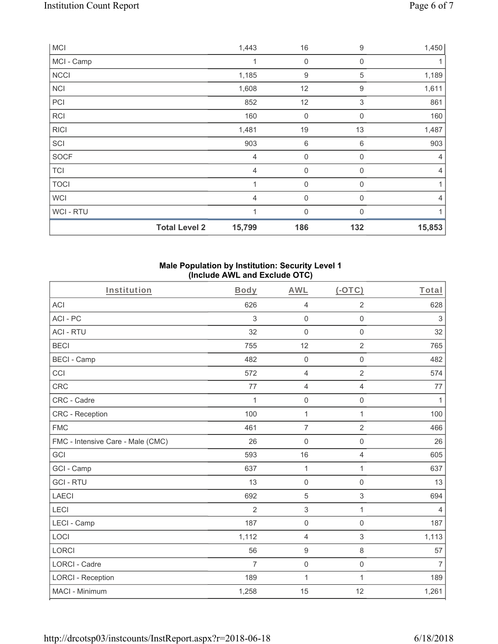|             | <b>Total Level 2</b> | 15,799         | 186         | 132          | 15,853         |
|-------------|----------------------|----------------|-------------|--------------|----------------|
| WCI - RTU   |                      | 1              | $\mathbf 0$ | $\Omega$     |                |
| <b>WCI</b>  |                      | $\overline{4}$ | $\mathbf 0$ | $\Omega$     | $\overline{4}$ |
| <b>TOCI</b> |                      | 1              | $\mathbf 0$ | 0            | 1              |
| <b>TCI</b>  |                      | $\overline{4}$ | 0           | $\mathbf{0}$ | 4              |
| <b>SOCF</b> |                      | 4              | $\mathbf 0$ | 0            | $\overline{4}$ |
| SCI         |                      | 903            | 6           | 6            | 903            |
| <b>RICI</b> |                      | 1,481          | 19          | 13           | 1,487          |
| RCI         |                      | 160            | 0           | 0            | 160            |
| PCI         |                      | 852            | 12          | $\sqrt{3}$   | 861            |
| <b>NCI</b>  |                      | 1,608          | 12          | 9            | 1,611          |
| <b>NCCI</b> |                      | 1,185          | 9           | 5            | 1,189          |
| MCI - Camp  |                      | $\mathbf 1$    | $\mathbf 0$ | 0            |                |
| <b>MCI</b>  |                      | 1,443          | 16          | 9            | 1,450          |

### **Male Population by Institution: Security Level 1 (Include AWL and Exclude OTC)**

| Institution                       | <b>Body</b>    | <b>AWL</b>          | $(-OTC)$            | Total          |
|-----------------------------------|----------------|---------------------|---------------------|----------------|
| <b>ACI</b>                        | 626            | $\overline{4}$      | $\overline{2}$      | 628            |
| ACI - PC                          | 3              | $\mathsf{O}\xspace$ | $\mathsf 0$         | $\sqrt{3}$     |
| <b>ACI - RTU</b>                  | 32             | $\mathsf{O}\xspace$ | $\mathsf{O}\xspace$ | 32             |
| <b>BECI</b>                       | 755            | 12                  | $\overline{2}$      | 765            |
| <b>BECI - Camp</b>                | 482            | $\mathbf 0$         | $\mathbf 0$         | 482            |
| CCI                               | 572            | $\overline{4}$      | $\overline{2}$      | 574            |
| <b>CRC</b>                        | 77             | $\overline{4}$      | $\overline{4}$      | 77             |
| CRC - Cadre                       | $\mathbf{1}$   | $\mathsf{O}\xspace$ | $\mathsf{O}\xspace$ | 1              |
| <b>CRC</b> - Reception            | 100            | 1                   | 1                   | 100            |
| <b>FMC</b>                        | 461            | $\overline{7}$      | $\overline{2}$      | 466            |
| FMC - Intensive Care - Male (CMC) | 26             | $\mathsf{O}\xspace$ | $\mathsf{O}\xspace$ | 26             |
| GCI                               | 593            | 16                  | $\overline{4}$      | 605            |
| GCI - Camp                        | 637            | $\mathbf{1}$        | 1                   | 637            |
| <b>GCI-RTU</b>                    | 13             | $\mathsf{O}\xspace$ | 0                   | 13             |
| <b>LAECI</b>                      | 692            | $\sqrt{5}$          | $\mathfrak{S}$      | 694            |
| LECI                              | $\overline{2}$ | $\sqrt{3}$          | $\mathbf{1}$        | $\overline{4}$ |
| LECI - Camp                       | 187            | $\mathsf{O}\xspace$ | $\mathsf 0$         | 187            |
| LOCI                              | 1,112          | $\overline{4}$      | $\,$ 3 $\,$         | 1,113          |
| <b>LORCI</b>                      | 56             | $\boldsymbol{9}$    | 8                   | 57             |
| LORCI - Cadre                     | $\overline{7}$ | $\mathbf 0$         | $\mathsf{O}\xspace$ | $\overline{7}$ |
| <b>LORCI - Reception</b>          | 189            | $\mathbf{1}$        | $\mathbf{1}$        | 189            |
| MACI - Minimum                    | 1,258          | 15                  | 12                  | 1,261          |